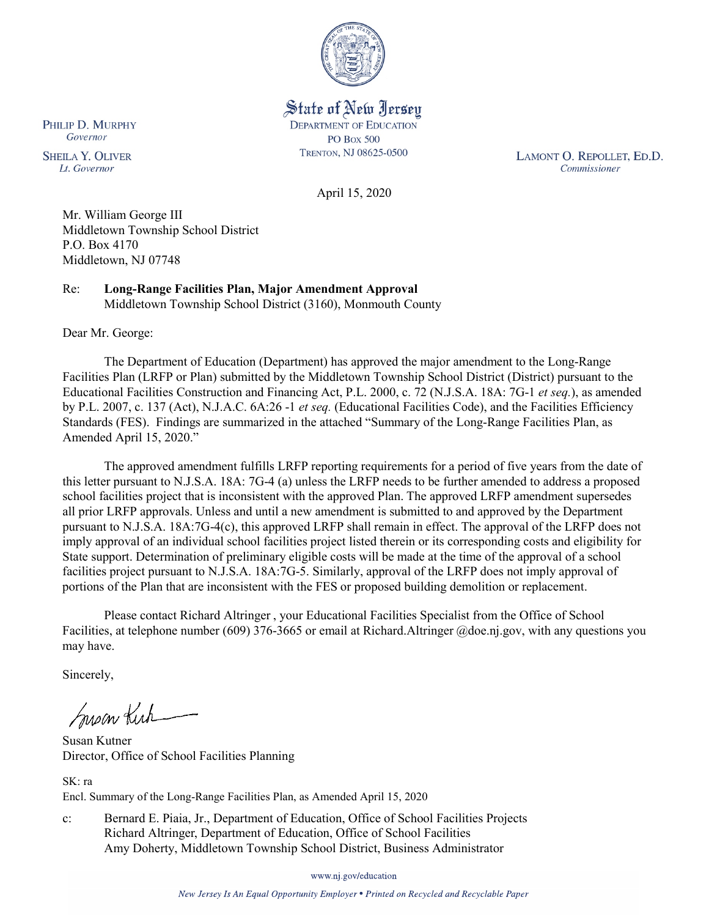

State of New Jersey **DEPARTMENT OF EDUCATION PO Box 500** TRENTON, NJ 08625-0500

LAMONT O. REPOLLET, ED.D. Commissioner

April 15, 2020

Mr. William George III Middletown Township School District P.O. Box 4170 Middletown, NJ 07748

Re: **Long-Range Facilities Plan, Major Amendment Approval** Middletown Township School District (3160), Monmouth County

Dear Mr. George:

The Department of Education (Department) has approved the major amendment to the Long-Range Facilities Plan (LRFP or Plan) submitted by the Middletown Township School District (District) pursuant to the Educational Facilities Construction and Financing Act, P.L. 2000, c. 72 (N.J.S.A. 18A: 7G-1 *et seq.*), as amended by P.L. 2007, c. 137 (Act), N.J.A.C. 6A:26 -1 *et seq.* (Educational Facilities Code), and the Facilities Efficiency Standards (FES). Findings are summarized in the attached "Summary of the Long-Range Facilities Plan, as Amended April 15, 2020."

The approved amendment fulfills LRFP reporting requirements for a period of five years from the date of this letter pursuant to N.J.S.A. 18A: 7G-4 (a) unless the LRFP needs to be further amended to address a proposed school facilities project that is inconsistent with the approved Plan. The approved LRFP amendment supersedes all prior LRFP approvals. Unless and until a new amendment is submitted to and approved by the Department pursuant to N.J.S.A. 18A:7G-4(c), this approved LRFP shall remain in effect. The approval of the LRFP does not imply approval of an individual school facilities project listed therein or its corresponding costs and eligibility for State support. Determination of preliminary eligible costs will be made at the time of the approval of a school facilities project pursuant to N.J.S.A. 18A:7G-5. Similarly, approval of the LRFP does not imply approval of portions of the Plan that are inconsistent with the FES or proposed building demolition or replacement.

Please contact Richard Altringer , your Educational Facilities Specialist from the Office of School Facilities, at telephone number (609) 376-3665 or email at Richard.Altringer @doe.nj.gov, with any questions you may have.

Sincerely,

Susan Kich

Susan Kutner Director, Office of School Facilities Planning

SK: ra Encl. Summary of the Long-Range Facilities Plan, as Amended April 15, 2020

c: Bernard E. Piaia, Jr., Department of Education, Office of School Facilities Projects Richard Altringer, Department of Education, Office of School Facilities Amy Doherty, Middletown Township School District, Business Administrator

www.nj.gov/education

New Jersey Is An Equal Opportunity Employer . Printed on Recycled and Recyclable Paper

PHILIP D. MURPHY Governor

**SHEILA Y. OLIVER** Lt. Governor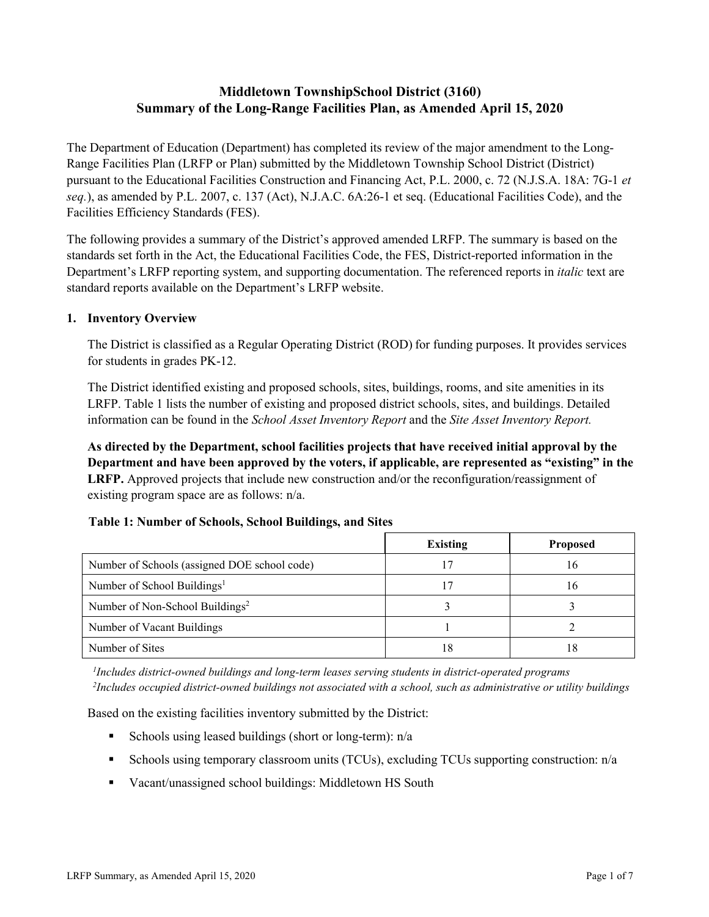# **Middletown TownshipSchool District (3160) Summary of the Long-Range Facilities Plan, as Amended April 15, 2020**

The Department of Education (Department) has completed its review of the major amendment to the Long-Range Facilities Plan (LRFP or Plan) submitted by the Middletown Township School District (District) pursuant to the Educational Facilities Construction and Financing Act, P.L. 2000, c. 72 (N.J.S.A. 18A: 7G-1 *et seq.*), as amended by P.L. 2007, c. 137 (Act), N.J.A.C. 6A:26-1 et seq. (Educational Facilities Code), and the Facilities Efficiency Standards (FES).

The following provides a summary of the District's approved amended LRFP. The summary is based on the standards set forth in the Act, the Educational Facilities Code, the FES, District-reported information in the Department's LRFP reporting system, and supporting documentation. The referenced reports in *italic* text are standard reports available on the Department's LRFP website.

#### **1. Inventory Overview**

The District is classified as a Regular Operating District (ROD) for funding purposes. It provides services for students in grades PK-12.

The District identified existing and proposed schools, sites, buildings, rooms, and site amenities in its LRFP. Table 1 lists the number of existing and proposed district schools, sites, and buildings. Detailed information can be found in the *School Asset Inventory Report* and the *Site Asset Inventory Report.*

**As directed by the Department, school facilities projects that have received initial approval by the Department and have been approved by the voters, if applicable, are represented as "existing" in the LRFP.** Approved projects that include new construction and/or the reconfiguration/reassignment of existing program space are as follows: n/a.

| <b>Table 1: Number of Schools, School Buildings, and Sites</b> |  |
|----------------------------------------------------------------|--|
|                                                                |  |

|                                              | Existing | <b>Proposed</b> |
|----------------------------------------------|----------|-----------------|
| Number of Schools (assigned DOE school code) |          | 16              |
| Number of School Buildings <sup>1</sup>      |          | 16              |
| Number of Non-School Buildings <sup>2</sup>  |          |                 |
| Number of Vacant Buildings                   |          |                 |
| Number of Sites                              | 18       | 18              |

*1 Includes district-owned buildings and long-term leases serving students in district-operated programs 2 Includes occupied district-owned buildings not associated with a school, such as administrative or utility buildings*

Based on the existing facilities inventory submitted by the District:

- Schools using leased buildings (short or long-term):  $n/a$
- Schools using temporary classroom units (TCUs), excluding TCUs supporting construction: n/a
- Vacant/unassigned school buildings: Middletown HS South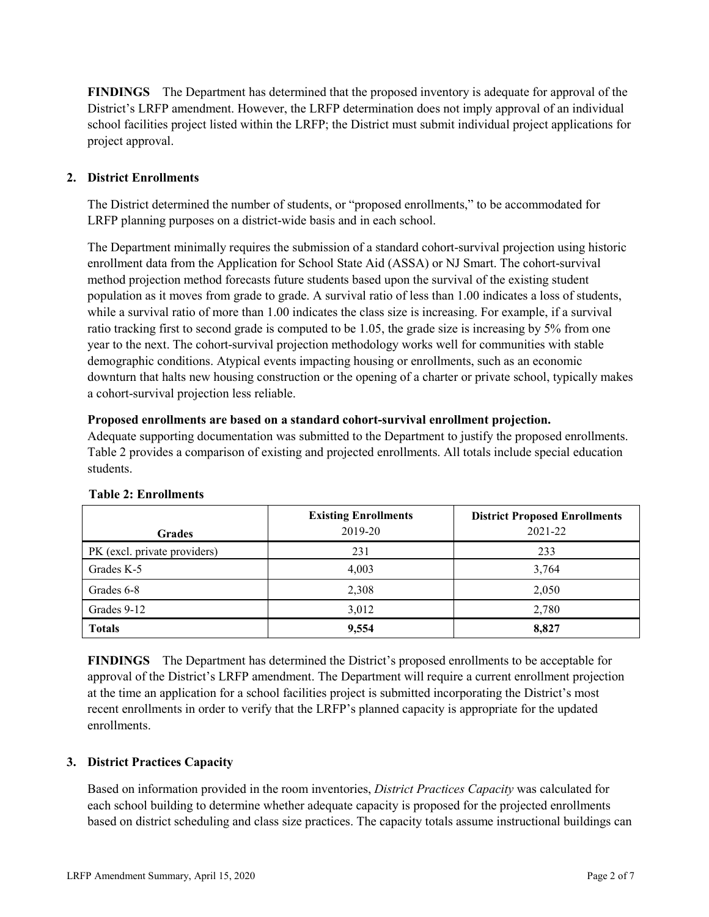**FINDINGS** The Department has determined that the proposed inventory is adequate for approval of the District's LRFP amendment. However, the LRFP determination does not imply approval of an individual school facilities project listed within the LRFP; the District must submit individual project applications for project approval.

# **2. District Enrollments**

The District determined the number of students, or "proposed enrollments," to be accommodated for LRFP planning purposes on a district-wide basis and in each school.

The Department minimally requires the submission of a standard cohort-survival projection using historic enrollment data from the Application for School State Aid (ASSA) or NJ Smart. The cohort-survival method projection method forecasts future students based upon the survival of the existing student population as it moves from grade to grade. A survival ratio of less than 1.00 indicates a loss of students, while a survival ratio of more than 1.00 indicates the class size is increasing. For example, if a survival ratio tracking first to second grade is computed to be 1.05, the grade size is increasing by 5% from one year to the next. The cohort-survival projection methodology works well for communities with stable demographic conditions. Atypical events impacting housing or enrollments, such as an economic downturn that halts new housing construction or the opening of a charter or private school, typically makes a cohort-survival projection less reliable.

#### **Proposed enrollments are based on a standard cohort-survival enrollment projection.**

Adequate supporting documentation was submitted to the Department to justify the proposed enrollments. Table 2 provides a comparison of existing and projected enrollments. All totals include special education students.

|                              | <b>Existing Enrollments</b> | <b>District Proposed Enrollments</b> |
|------------------------------|-----------------------------|--------------------------------------|
| <b>Grades</b>                | 2019-20                     | 2021-22                              |
| PK (excl. private providers) | 231                         | 233                                  |
| Grades K-5                   | 4,003                       | 3,764                                |
| Grades 6-8                   | 2,308                       | 2,050                                |
| Grades 9-12                  | 3,012                       | 2,780                                |
| <b>Totals</b>                | 9,554                       | 8,827                                |

#### **Table 2: Enrollments**

**FINDINGS** The Department has determined the District's proposed enrollments to be acceptable for approval of the District's LRFP amendment. The Department will require a current enrollment projection at the time an application for a school facilities project is submitted incorporating the District's most recent enrollments in order to verify that the LRFP's planned capacity is appropriate for the updated enrollments.

# **3. District Practices Capacity**

Based on information provided in the room inventories, *District Practices Capacity* was calculated for each school building to determine whether adequate capacity is proposed for the projected enrollments based on district scheduling and class size practices. The capacity totals assume instructional buildings can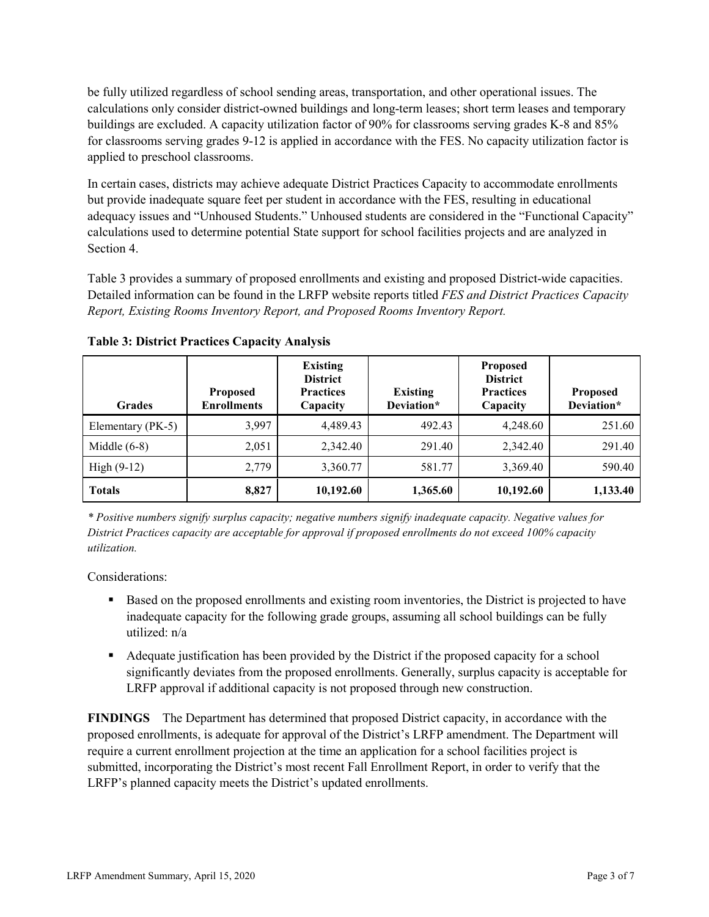be fully utilized regardless of school sending areas, transportation, and other operational issues. The calculations only consider district-owned buildings and long-term leases; short term leases and temporary buildings are excluded. A capacity utilization factor of 90% for classrooms serving grades K-8 and 85% for classrooms serving grades 9-12 is applied in accordance with the FES. No capacity utilization factor is applied to preschool classrooms.

In certain cases, districts may achieve adequate District Practices Capacity to accommodate enrollments but provide inadequate square feet per student in accordance with the FES, resulting in educational adequacy issues and "Unhoused Students." Unhoused students are considered in the "Functional Capacity" calculations used to determine potential State support for school facilities projects and are analyzed in Section 4.

Table 3 provides a summary of proposed enrollments and existing and proposed District-wide capacities. Detailed information can be found in the LRFP website reports titled *FES and District Practices Capacity Report, Existing Rooms Inventory Report, and Proposed Rooms Inventory Report.*

| <b>Grades</b>     | <b>Proposed</b><br><b>Enrollments</b> | <b>Existing</b><br><b>District</b><br><b>Practices</b><br>Capacity | <b>Existing</b><br>Deviation* | <b>Proposed</b><br><b>District</b><br><b>Practices</b><br>Capacity | <b>Proposed</b><br>Deviation* |
|-------------------|---------------------------------------|--------------------------------------------------------------------|-------------------------------|--------------------------------------------------------------------|-------------------------------|
| Elementary (PK-5) | 3,997                                 | 4,489.43                                                           | 492.43                        | 4,248.60                                                           | 251.60                        |
| Middle $(6-8)$    | 2,051                                 | 2,342.40                                                           | 291.40                        | 2,342.40                                                           | 291.40                        |
| High $(9-12)$     | 2,779                                 | 3,360.77                                                           | 581.77                        | 3,369.40                                                           | 590.40                        |
| <b>Totals</b>     | 8,827                                 | 10,192.60                                                          | 1,365.60                      | 10,192.60                                                          | 1,133.40                      |

**Table 3: District Practices Capacity Analysis**

*\* Positive numbers signify surplus capacity; negative numbers signify inadequate capacity. Negative values for District Practices capacity are acceptable for approval if proposed enrollments do not exceed 100% capacity utilization.*

Considerations:

- **Based on the proposed enrollments and existing room inventories, the District is projected to have** inadequate capacity for the following grade groups, assuming all school buildings can be fully utilized: n/a
- Adequate justification has been provided by the District if the proposed capacity for a school significantly deviates from the proposed enrollments. Generally, surplus capacity is acceptable for LRFP approval if additional capacity is not proposed through new construction.

**FINDINGS**The Department has determined that proposed District capacity, in accordance with the proposed enrollments, is adequate for approval of the District's LRFP amendment. The Department will require a current enrollment projection at the time an application for a school facilities project is submitted, incorporating the District's most recent Fall Enrollment Report, in order to verify that the LRFP's planned capacity meets the District's updated enrollments.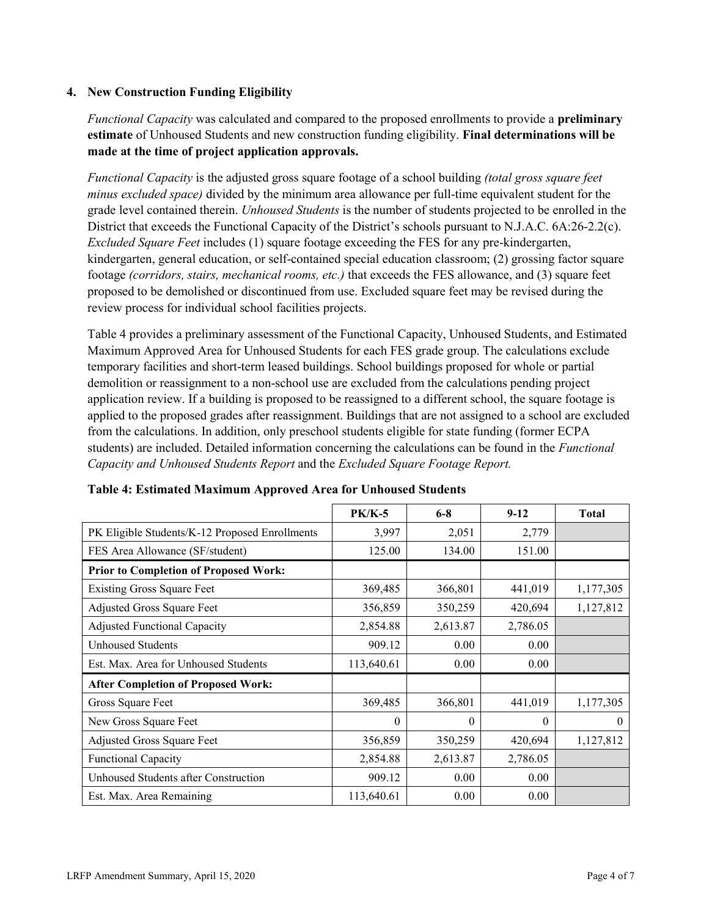### **4. New Construction Funding Eligibility**

*Functional Capacity* was calculated and compared to the proposed enrollments to provide a **preliminary estimate** of Unhoused Students and new construction funding eligibility. **Final determinations will be made at the time of project application approvals.**

*Functional Capacity* is the adjusted gross square footage of a school building *(total gross square feet minus excluded space)* divided by the minimum area allowance per full-time equivalent student for the grade level contained therein. *Unhoused Students* is the number of students projected to be enrolled in the District that exceeds the Functional Capacity of the District's schools pursuant to N.J.A.C. 6A:26-2.2(c). *Excluded Square Feet* includes (1) square footage exceeding the FES for any pre-kindergarten, kindergarten, general education, or self-contained special education classroom; (2) grossing factor square footage *(corridors, stairs, mechanical rooms, etc.)* that exceeds the FES allowance, and (3) square feet proposed to be demolished or discontinued from use. Excluded square feet may be revised during the review process for individual school facilities projects.

Table 4 provides a preliminary assessment of the Functional Capacity, Unhoused Students, and Estimated Maximum Approved Area for Unhoused Students for each FES grade group. The calculations exclude temporary facilities and short-term leased buildings. School buildings proposed for whole or partial demolition or reassignment to a non-school use are excluded from the calculations pending project application review. If a building is proposed to be reassigned to a different school, the square footage is applied to the proposed grades after reassignment. Buildings that are not assigned to a school are excluded from the calculations. In addition, only preschool students eligible for state funding (former ECPA students) are included. Detailed information concerning the calculations can be found in the *Functional Capacity and Unhoused Students Report* and the *Excluded Square Footage Report.*

|                                                | <b>PK/K-5</b> | $6 - 8$  | $9 - 12$ | <b>Total</b> |
|------------------------------------------------|---------------|----------|----------|--------------|
| PK Eligible Students/K-12 Proposed Enrollments | 3,997         | 2,051    | 2,779    |              |
| FES Area Allowance (SF/student)                | 125.00        | 134.00   | 151.00   |              |
| <b>Prior to Completion of Proposed Work:</b>   |               |          |          |              |
| <b>Existing Gross Square Feet</b>              | 369,485       | 366,801  | 441,019  | 1,177,305    |
| Adjusted Gross Square Feet                     | 356,859       | 350,259  | 420,694  | 1,127,812    |
| <b>Adjusted Functional Capacity</b>            | 2,854.88      | 2,613.87 | 2,786.05 |              |
| Unhoused Students                              | 909.12        | 0.00     | 0.00     |              |
| Est. Max. Area for Unhoused Students           | 113,640.61    | 0.00     | 0.00     |              |
| <b>After Completion of Proposed Work:</b>      |               |          |          |              |
| Gross Square Feet                              | 369,485       | 366,801  | 441,019  | 1,177,305    |
| New Gross Square Feet                          | $\theta$      | 0        | $\Omega$ | $\theta$     |
| Adjusted Gross Square Feet                     | 356,859       | 350,259  | 420,694  | 1,127,812    |
| Functional Capacity                            | 2,854.88      | 2,613.87 | 2,786.05 |              |
| Unhoused Students after Construction           | 909.12        | 0.00     | 0.00     |              |
| Est. Max. Area Remaining                       | 113,640.61    | 0.00     | 0.00     |              |

| Table 4: Estimated Maximum Approved Area for Unhoused Students |  |  |
|----------------------------------------------------------------|--|--|
|----------------------------------------------------------------|--|--|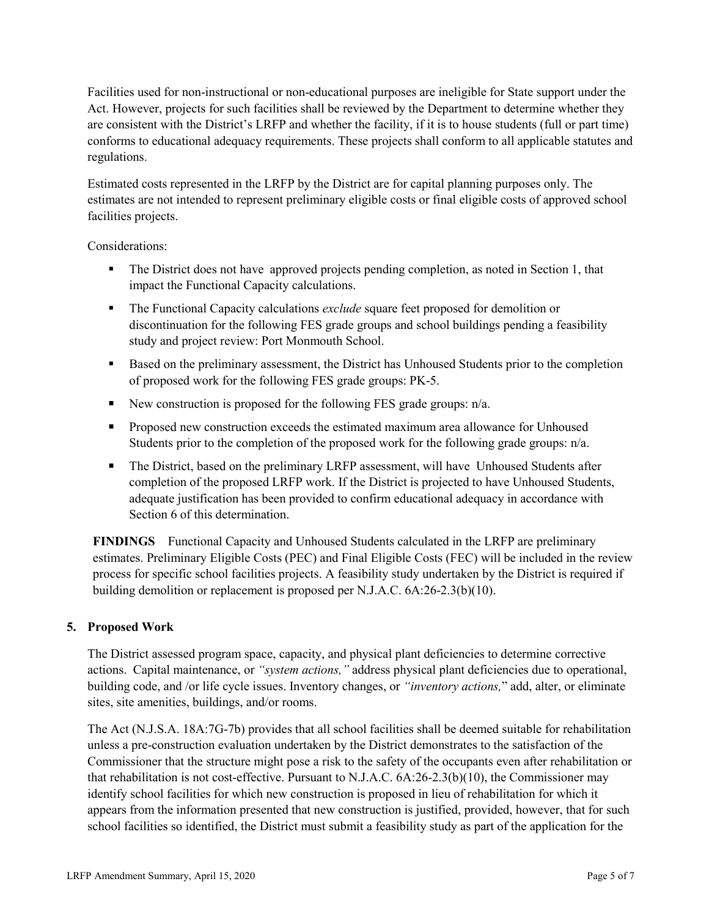Facilities used for non-instructional or non-educational purposes are ineligible for State support under the Act. However, projects for such facilities shall be reviewed by the Department to determine whether they are consistent with the District's LRFP and whether the facility, if it is to house students (full or part time) conforms to educational adequacy requirements. These projects shall conform to all applicable statutes and regulations.

Estimated costs represented in the LRFP by the District are for capital planning purposes only. The estimates are not intended to represent preliminary eligible costs or final eligible costs of approved school facilities projects.

Considerations:

- The District does not have approved projects pending completion, as noted in Section 1, that impact the Functional Capacity calculations.
- The Functional Capacity calculations *exclude* square feet proposed for demolition or discontinuation for the following FES grade groups and school buildings pending a feasibility study and project review: Port Monmouth School.
- Based on the preliminary assessment, the District has Unhoused Students prior to the completion of proposed work for the following FES grade groups: PK-5.
- New construction is proposed for the following FES grade groups:  $n/a$ .
- **Proposed new construction exceeds the estimated maximum area allowance for Unhoused** Students prior to the completion of the proposed work for the following grade groups: n/a.
- The District, based on the preliminary LRFP assessment, will have Unhoused Students after completion of the proposed LRFP work. If the District is projected to have Unhoused Students, adequate justification has been provided to confirm educational adequacy in accordance with Section 6 of this determination.

**FINDINGS** Functional Capacity and Unhoused Students calculated in the LRFP are preliminary estimates. Preliminary Eligible Costs (PEC) and Final Eligible Costs (FEC) will be included in the review process for specific school facilities projects. A feasibility study undertaken by the District is required if building demolition or replacement is proposed per N.J.A.C. 6A:26-2.3(b)(10).

# **5. Proposed Work**

The District assessed program space, capacity, and physical plant deficiencies to determine corrective actions. Capital maintenance, or *"system actions,"* address physical plant deficiencies due to operational, building code, and /or life cycle issues. Inventory changes, or *"inventory actions,*" add, alter, or eliminate sites, site amenities, buildings, and/or rooms.

The Act (N.J.S.A. 18A:7G-7b) provides that all school facilities shall be deemed suitable for rehabilitation unless a pre-construction evaluation undertaken by the District demonstrates to the satisfaction of the Commissioner that the structure might pose a risk to the safety of the occupants even after rehabilitation or that rehabilitation is not cost-effective. Pursuant to N.J.A.C. 6A:26-2.3(b)(10), the Commissioner may identify school facilities for which new construction is proposed in lieu of rehabilitation for which it appears from the information presented that new construction is justified, provided, however, that for such school facilities so identified, the District must submit a feasibility study as part of the application for the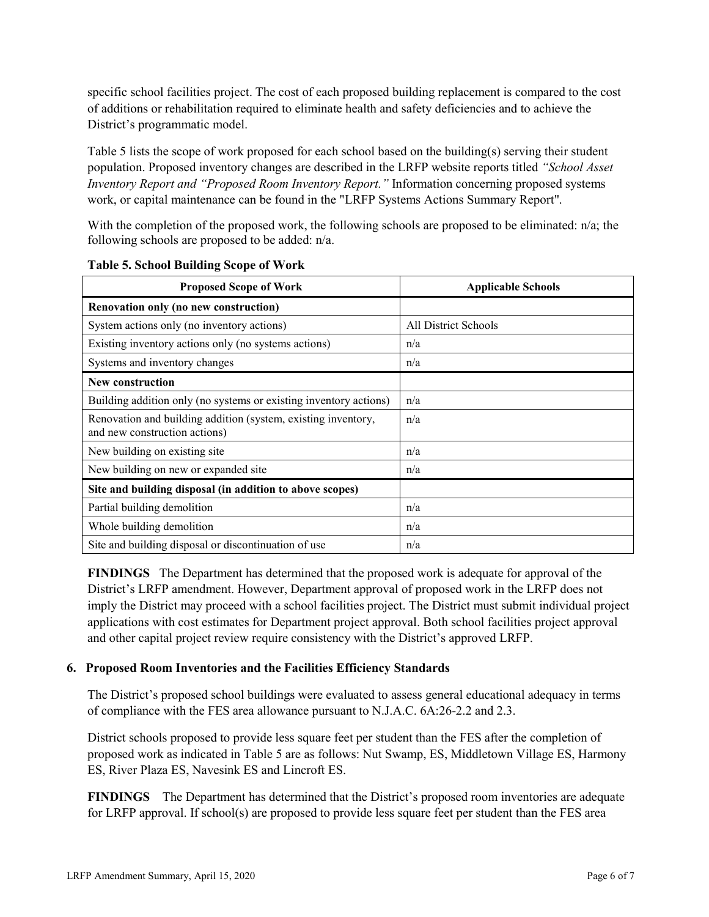specific school facilities project. The cost of each proposed building replacement is compared to the cost of additions or rehabilitation required to eliminate health and safety deficiencies and to achieve the District's programmatic model.

Table 5 lists the scope of work proposed for each school based on the building(s) serving their student population. Proposed inventory changes are described in the LRFP website reports titled *"School Asset Inventory Report and "Proposed Room Inventory Report."* Information concerning proposed systems work, or capital maintenance can be found in the "LRFP Systems Actions Summary Report".

With the completion of the proposed work, the following schools are proposed to be eliminated: n/a; the following schools are proposed to be added: n/a.

| <b>Proposed Scope of Work</b>                                                                  | <b>Applicable Schools</b> |
|------------------------------------------------------------------------------------------------|---------------------------|
| Renovation only (no new construction)                                                          |                           |
| System actions only (no inventory actions)                                                     | All District Schools      |
| Existing inventory actions only (no systems actions)                                           | n/a                       |
| Systems and inventory changes                                                                  | n/a                       |
| <b>New construction</b>                                                                        |                           |
| Building addition only (no systems or existing inventory actions)                              | n/a                       |
| Renovation and building addition (system, existing inventory,<br>and new construction actions) | n/a                       |
| New building on existing site                                                                  | n/a                       |
| New building on new or expanded site                                                           | n/a                       |
| Site and building disposal (in addition to above scopes)                                       |                           |
| Partial building demolition                                                                    | n/a                       |
| Whole building demolition                                                                      | n/a                       |
| Site and building disposal or discontinuation of use                                           | n/a                       |

#### **Table 5. School Building Scope of Work**

**FINDINGS** The Department has determined that the proposed work is adequate for approval of the District's LRFP amendment. However, Department approval of proposed work in the LRFP does not imply the District may proceed with a school facilities project. The District must submit individual project applications with cost estimates for Department project approval. Both school facilities project approval and other capital project review require consistency with the District's approved LRFP.

#### **6. Proposed Room Inventories and the Facilities Efficiency Standards**

The District's proposed school buildings were evaluated to assess general educational adequacy in terms of compliance with the FES area allowance pursuant to N.J.A.C. 6A:26-2.2 and 2.3.

District schools proposed to provide less square feet per student than the FES after the completion of proposed work as indicated in Table 5 are as follows: Nut Swamp, ES, Middletown Village ES, Harmony ES, River Plaza ES, Navesink ES and Lincroft ES.

**FINDINGS** The Department has determined that the District's proposed room inventories are adequate for LRFP approval. If school(s) are proposed to provide less square feet per student than the FES area